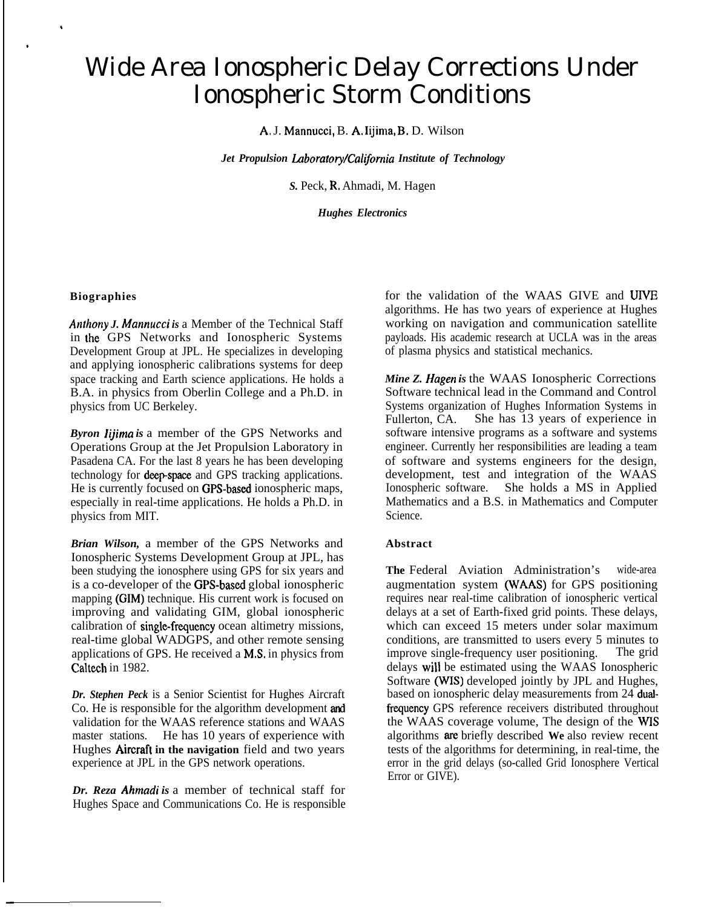# Wide Area Ionospheric Delay Corrections Under Ionospheric Storm Conditions

A, J. Mannucci, B. A, Iijima, B, D. Wilson

*Jet Propulsion Laboratory/California Institute of Technology* 

*S.* Peck, R, Ahmadi, M. Hagen

*Hughes Electronics*

#### **Biographies**

.

,

—

*Anfhony J. Mannucci is* a Member of the Technical Staff in the GPS Networks and Ionospheric Systems Development Group at JPL. He specializes in developing and applying ionospheric calibrations systems for deep space tracking and Earth science applications. He holds a B.A. in physics from Oberlin College and a Ph.D. in physics from UC Berkeley.

*Byron Iijima is* a member of the GPS Networks and Operations Group at the Jet Propulsion Laboratory in Pasadena CA. For the last 8 years he has been developing technology for **deep-space** and GPS tracking applications. He is currently focused on GPS-based ionospheric maps, especially in real-time applications. He holds a Ph.D. in physics from MIT.

*Brian Wilson,* a member of the GPS Networks and Ionospheric Systems Development Group at JPL, has been studying the ionosphere using GPS for six years and is a co-developer of the GPS-based global ionospheric mapping (GIM) technique. His current work is focused on improving and validating GIM, global ionospheric calibration of single-frequency ocean altimetry missions, real-time global WADGPS, and other remote sensing applications of GPS. He received a M.S. in physics from Caltech in 1982.

*Dr. Stephen Peck* is a Senior Scientist for Hughes Aircraft Co. He is responsible for the algorithm development and validation for the WAAS reference stations and WAAS master stations. He has 10 years of experience with Hughes **Aircraft** in the navigation field and two years experience at JPL in the GPS network operations.

*Dr. Reza Ahmadi is* a member of technical staff for Hughes Space and Communications Co. He is responsible for the validation of the WAAS GIVE and UIVE algorithms. He has two years of experience at Hughes working on navigation and communication satellite payloads. His academic research at UCLA was in the areas of plasma physics and statistical mechanics.

*Mine Z. Hagen is* the WAAS Ionospheric Corrections Software technical lead in the Command and Control Systems organization of Hughes Information Systems in Fullerton, CA. She has 13 years of experience in software intensive programs as a software and systems engineer. Currently her responsibilities are leading a team of software and systems engineers for the design, development, test and integration of the WAAS Ionospheric software. She holds a MS in Applied Mathematics and a B.S. in Mathematics and Computer Science.

#### **Abstract**

**The** Federal Aviation Administration's wide-area augmentation system (WAAS) for GPS positioning requires near real-time calibration of ionospheric vertical delays at a set of Earth-fixed grid points. These delays, which can exceed 15 meters under solar maximum conditions, are transmitted to users every 5 minutes to improve single-frequency user positioning. The grid delays will be estimated using the WAAS Ionospheric Software (WIS) developed jointly by JPL and Hughes, based on ionospheric delay measurements from 24 dualfrequency GPS reference receivers distributed throughout the WAAS coverage volume, The design of the WIS algorithms are briefly described **We** also review recent tests of the algorithms for determining, in real-time, the error in the grid delays (so-called Grid Ionosphere Vertical Error or GIVE).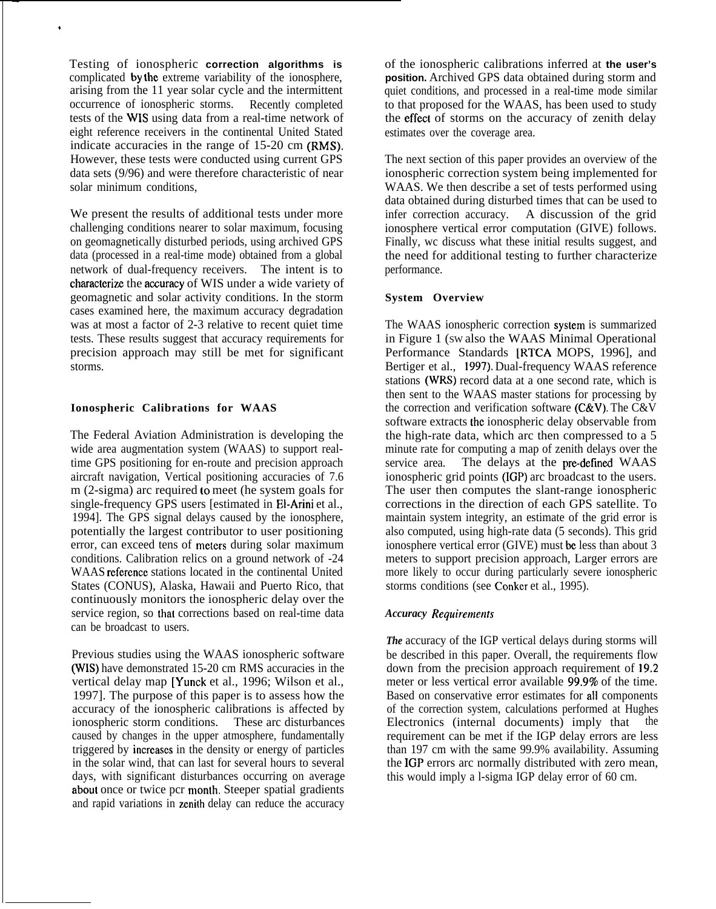Testing of ionospheric **correction algorithms is** complicated by the extreme variability of the ionosphere, arising from the 11 year solar cycle and the intermittent occurrence of ionospheric storms. Recently completed tests of the WIS using data from a real-time network of eight reference receivers in the continental United Stated indicate accuracies in the range of 15-20 cm (RMS). However, these tests were conducted using current GPS data sets (9/96) and were therefore characteristic of near solar minimum conditions,

—

.

We present the results of additional tests under more challenging conditions nearer to solar maximum, focusing on geomagnetically disturbed periods, using archived GPS data (processed in a real-time mode) obtained from a global network of dual-frequency receivers. The intent is to characterize the accuracy of WIS under a wide variety of geomagnetic and solar activity conditions. In the storm cases examined here, the maximum accuracy degradation was at most a factor of 2-3 relative to recent quiet time tests. These results suggest that accuracy requirements for precision approach may still be met for significant storms.

# **Ionospheric Calibrations for WAAS**

The Federal Aviation Administration is developing the wide area augmentation system (WAAS) to support realtime GPS positioning for en-route and precision approach aircraft navigation, Vertical positioning accuracies of 7.6 m (2-sigma) arc required 10 meet (he system goals for single-frequency GPS users [estimated in E1-Arini et al., 1994]. The GPS signal delays caused by the ionosphere, potentially the largest contributor to user positioning error, can exceed tens of meters during solar maximum conditions. Calibration relics on a ground network of -24 WAAS reference stations located in the continental United States (CONUS), Alaska, Hawaii and Puerto Rico, that continuously monitors the ionospheric delay over the service region, so that corrections based on real-time data can be broadcast to users.

Previous studies using the WAAS ionospheric software (wIS) have demonstrated 15-20 cm RMS accuracies in the vertical delay map [Yunck et al., 1996; Wilson et al., 1997]. The purpose of this paper is to assess how the accuracy of the ionospheric calibrations is affected by ionospheric storm conditions. These arc disturbances caused by changes in the upper atmosphere, fundamentally triggered by incrcascs in the density or energy of particles in the solar wind, that can last for several hours to several days, with significant disturbances occurring on average about once or twice pcr month. Steeper spatial gradients and rapid variations in zenith delay can reduce the accuracy

of the ionospheric calibrations inferred at **the user's position.** Archived GPS data obtained during storm and quiet conditions, and processed in a real-time mode similar to that proposed for the WAAS, has been used to study the effect of storms on the accuracy of zenith delay estimates over the coverage area.

The next section of this paper provides an overview of the ionospheric correction system being implemented for WAAS. We then describe a set of tests performed using data obtained during disturbed times that can be used to infer correction accuracy. A discussion of the grid ionosphere vertical error computation (GIVE) follows. Finally, wc discuss what these initial results suggest, and the need for additional testing to further characterize performance.

# **System Overview**

The WAAS ionospheric correction syslem is summarized in Figure 1 (SW also the WAAS Minimal Operational Performance Standards [RTCA MOPS, 1996], and Bertiger et al., 1997). Dual-frequency WAAS reference stations (WRS) record data at a one second rate, which is then sent to the WAAS master stations for processing by the correction and verification software (C&V). The C&V software extracts the ionospheric delay observable from the high-rate data, which arc then compressed to a 5 minute rate for computing a map of zenith delays over the service area. The delays at the pre-defined WAAS ionospheric grid points (IGP) arc broadcast to the users. The user then computes the slant-range ionospheric corrections in the direction of each GPS satellite. To maintain system integrity, an estimate of the grid error is also computed, using high-rate data (5 seconds). This grid ionosphere vertical error (GIVE) must be less than about 3 meters to support precision approach, Larger errors are more likely to occur during particularly severe ionospheric storms conditions (see Conker et al., 1995).

#### *Accuracy Requirentents*

*The* accuracy of the IGP vertical delays during storms will be described in this paper. Overall, the requirements flow down from the precision approach requirement of 19.2 meter or less vertical error available 99.9% of the time. Based on conservative error estimates for all components of the correction system, calculations performed at Hughes Electronics (internal documents) imply that the requirement can be met if the IGP delay errors are less than 197 cm with the same 99.9% availability. Assuming the IGP errors arc normally distributed with zero mean, this would imply a l-sigma IGP delay error of 60 cm.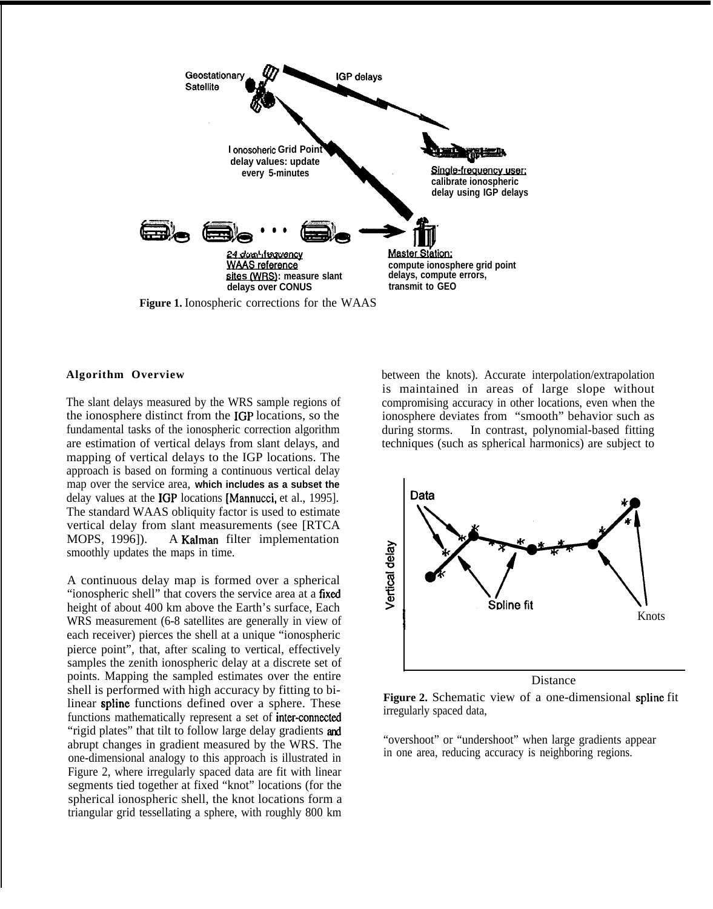

# **Algorithm Overview**

The slant delays measured by the WRS sample regions of the ionosphere distinct from the IGP locations, so the fundamental tasks of the ionospheric correction algorithm are estimation of vertical delays from slant delays, and mapping of vertical delays to the IGP locations. The approach is based on forming a continuous vertical delay map over the service area, **which includes as a subset the** delay values at the IGP locations [Mannucci, et al., 1995]. The standard WAAS obliquity factor is used to estimate vertical delay from slant measurements (see [RTCA MOPS, 1996]). A Kalman filter implementation smoothly updates the maps in time.

A continuous delay map is formed over a spherical "ionospheric shell" that covers the service area at a fixed height of about 400 km above the Earth's surface, Each WRS measurement (6-8 satellites are generally in view of each receiver) pierces the shell at a unique "ionospheric pierce point", that, after scaling to vertical, effectively samples the zenith ionospheric delay at a discrete set of points. Mapping the sampled estimates over the entire shell is performed with high accuracy by fitting to bilinear spline functions defined over a sphere. These functions mathematically represent a set of inter-connected "rigid plates" that tilt to follow large delay gradients and abrupt changes in gradient measured by the WRS. The one-dimensional analogy to this approach is illustrated in Figure 2, where irregularly spaced data are fit with linear segments tied together at fixed "knot" locations (for the spherical ionospheric shell, the knot locations form a triangular grid tessellating a sphere, with roughly 800 km

between the knots). Accurate interpolation/extrapolation is maintained in areas of large slope without compromising accuracy in other locations, even when the ionosphere deviates from "smooth" behavior such as during storms. In contrast, polynomial-based fitting techniques (such as spherical harmonics) are subject to



**Figure 2.** Schematic view of a one-dimensional spline fit irregularly spaced data,

"overshoot" or "undershoot" when large gradients appear in one area, reducing accuracy is neighboring regions.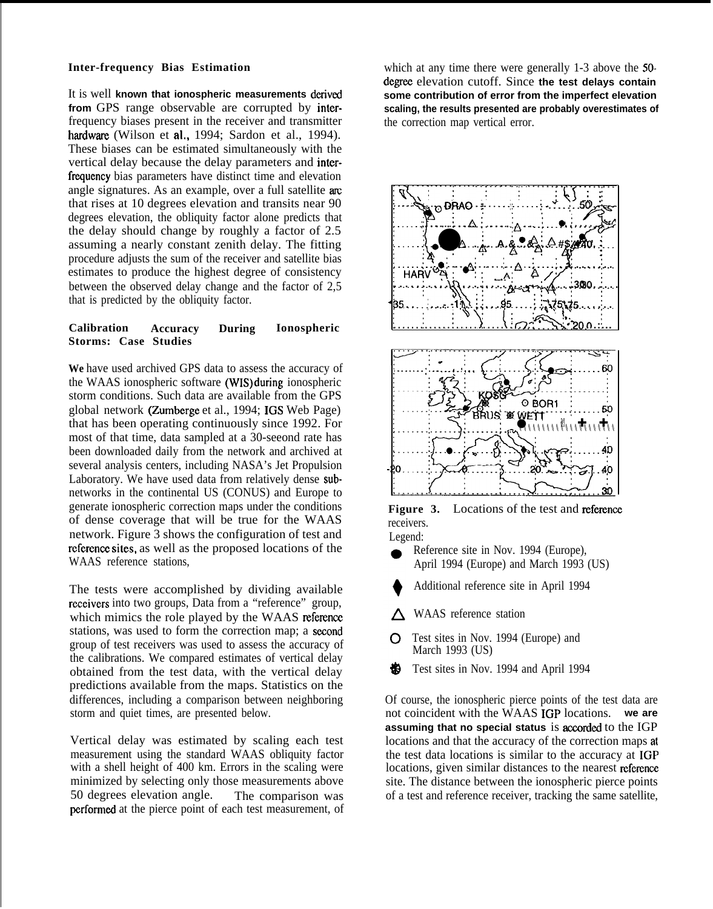# **Inter-frequency Bias Estimation**

It is well known that ionospheric measurements derived **from** GPS range observable are corrupted by interfrequency biases present in the receiver and transmitter hardware (Wilson et al., 1994; Sardon et al., 1994). These biases can be estimated simultaneously with the vertical delay because the delay parameters and interfrequency bias parameters have distinct time and elevation angle signatures. As an example, over a full satellite are that rises at 10 degrees elevation and transits near 90 degrees elevation, the obliquity factor alone predicts that the delay should change by roughly a factor of 2.5 assuming a nearly constant zenith delay. The fitting procedure adjusts the sum of the receiver and satellite bias estimates to produce the highest degree of consistency between the observed delay change and the factor of 2,5 that is predicted by the obliquity factor.

# **Calibration Accuracy During Ionospheric Storms: Case Studies**

**We** have used archived GPS data to assess the accuracy of the WAAS ionospheric software (WIS) duting ionospheric storm conditions. Such data are available from the GPS global network (Zumberge et al., 1994; IGS Web Page) that has been operating continuously since 1992. For most of that time, data sampled at a 30-seeond rate has been downloaded daily from the network and archived at several analysis centers, including NASA's Jet Propulsion Laboratory. We have used data from relatively dense subnetworks in the continental US (CONUS) and Europe to generate ionospheric correction maps under the conditions of dense coverage that will be true for the WAAS network. Figure 3 shows the configuration of test and reference sites, as well as the proposed locations of the WAAS reference stations,

The tests were accomplished by dividing available reccivers into two groups, Data from a "reference" group, which mimics the role played by the WAAS reference stations, was used to form the correction map; a sezond group of test receivers was used to assess the accuracy of the calibrations. We compared estimates of vertical delay obtained from the test data, with the vertical delay predictions available from the maps. Statistics on the differences, including a comparison between neighboring storm and quiet times, are presented below.

Vertical delay was estimated by scaling each test measurement using the standard WAAS obliquity factor with a shell height of 400 km. Errors in the scaling were minimized by selecting only those measurements above 50 degrees elevation angle. The comparison was pcrfomd at the pierce point of each test measurement, of

which at any time there were generally 1-3 above the 50 degree elevation cutoff. Since the test delays contain **some contribution of error from the imperfect elevation scaling, the results presented are probably overestimates of** the correction map vertical error.



**Figure 3.** Locations of the test and reference receivers. Legend:

- Reference site in Nov. 1994 (Europe), April 1994 (Europe) and March 1993 (US)
- Additional reference site in April 1994
- $\triangle$  WAAS reference station
- **C** Test sites in Nov. 1994 (Europe) and March 1993 (US)
- ₩ Test sites in Nov. 1994 and April 1994

Of course, the ionospheric pierce points of the test data are not coincident with the WAAS IGP locations. **we are** assuming that no special status is accorded to the IGP locations and that the accuracy of the correction maps at the test data locations is similar to the accuracy at IGP locations, given similar distances to the nearest reference site. The distance between the ionospheric pierce points of a test and reference receiver, tracking the same satellite,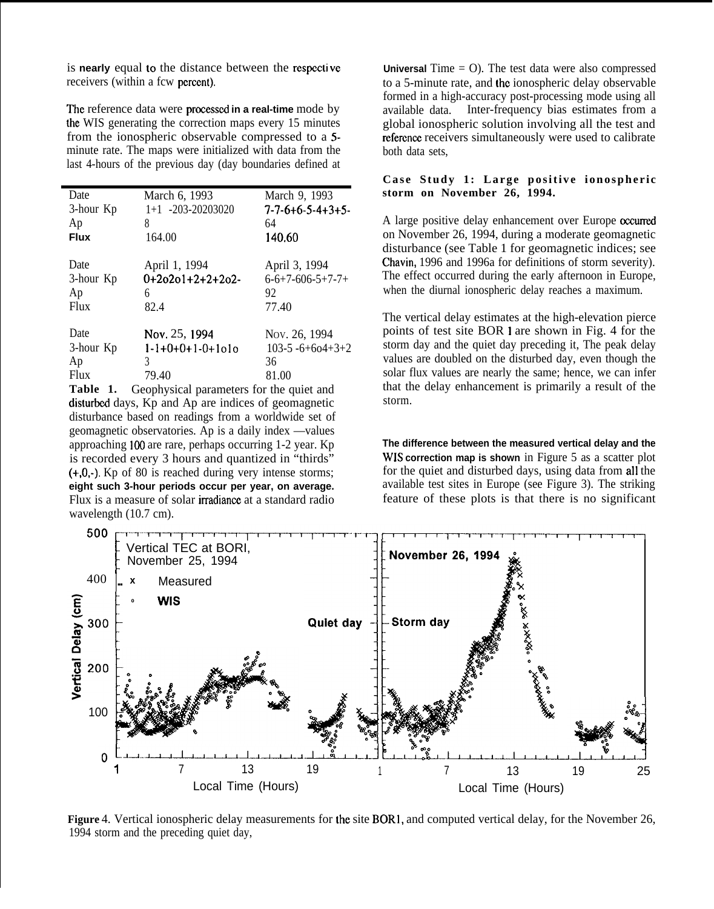is **nearly** equal to the distance between the respective receivers (within a fcw percent).

The reference data were processed in a real-time mode by the WIS generating the correction maps every 15 minutes from the ionospheric observable compressed to a 5 minute rate. The maps were initialized with data from the last 4-hours of the previous day (day boundaries defined at

| Date        | March 6, 1993      | March 9, 1993                   |
|-------------|--------------------|---------------------------------|
| 3-hour Kp   | 1+1 -203-20203020  | $7 - 7 - 6 + 6 - 5 - 4 + 3 + 5$ |
| Ap          | 8                  | 64                              |
| <b>Flux</b> | 164.00             | 140.60                          |
| Date        | April 1, 1994      | April 3, 1994                   |
| 3-hour Kp   | $0+20201+2+2+202-$ | $6 - 6 + 7 - 606 - 5 + 7 - 7 +$ |
| Ap          | 6                  | 92                              |
| Flux        | 82.4               | 77.40                           |
| Date        | Nov. 25, 1994      | Nov. 26, 1994                   |
| 3-hour Kp   | 1-1+0+0+1-0+1o1o   | $103-5 - 6 + 604 + 3 + 2$       |
| Ap          | 3                  | 36                              |
| Flux        | 79.40              | 81.00                           |

Table 1. Geophysical parameters for the quiet and disturbed days, Kp and Ap are indices of geomagnetic disturbance based on readings from a worldwide set of geomagnetic observatories. Ap is a daily index —values approaching 100 are rare, perhaps occurring 1-2 year. Kp is recorded every 3 hours and quantized in "thirds" (+,0,-). Kp of 80 is reached during very intense storms; **eight such 3-hour periods occur per year, on average.** Flux is a measure of solar irradiance at a standard radio wavelength (10.7 cm).

**Universal** Time = O). The test data were also compressed to a 5-minute rate, and the ionospheric delay observable formed in a high-accuracy post-processing mode using all available data. Inter-frequency bias estimates from a global ionospheric solution involving all the test and reference receivers simultaneously were used to calibrate both data sets,

# **Case Study 1: Large positive ionospheric storm on November 26, 1994.**

A large positive delay enhancement over Europe occurred on November 26, 1994, during a moderate geomagnetic disturbance (see Table 1 for geomagnetic indices; see Chavin, 1996 and 1996a for definitions of storm severity). The effect occurred during the early afternoon in Europe, when the diurnal ionospheric delay reaches a maximum.

The vertical delay estimates at the high-elevation pierce points of test site BOR 1 are shown in Fig. 4 for the storm day and the quiet day preceding it. The peak delay values are doubled on the disturbed day, even though the solar flux values are nearly the same; hence, we can infer that the delay enhancement is primarily a result of the storm.

**The difference between the measured vertical delay and the** WIS **correction map is shown** in Figure 5 as a scatter plot for the quiet and disturbed days, using data from all the available test sites in Europe (see Figure 3). The striking feature of these plots is that there is no significant



**Figure** 4. Vertical ionospheric delay measurements for the site BORI, and computed vertical delay, for the November 26, 1994 storm and the preceding quiet day,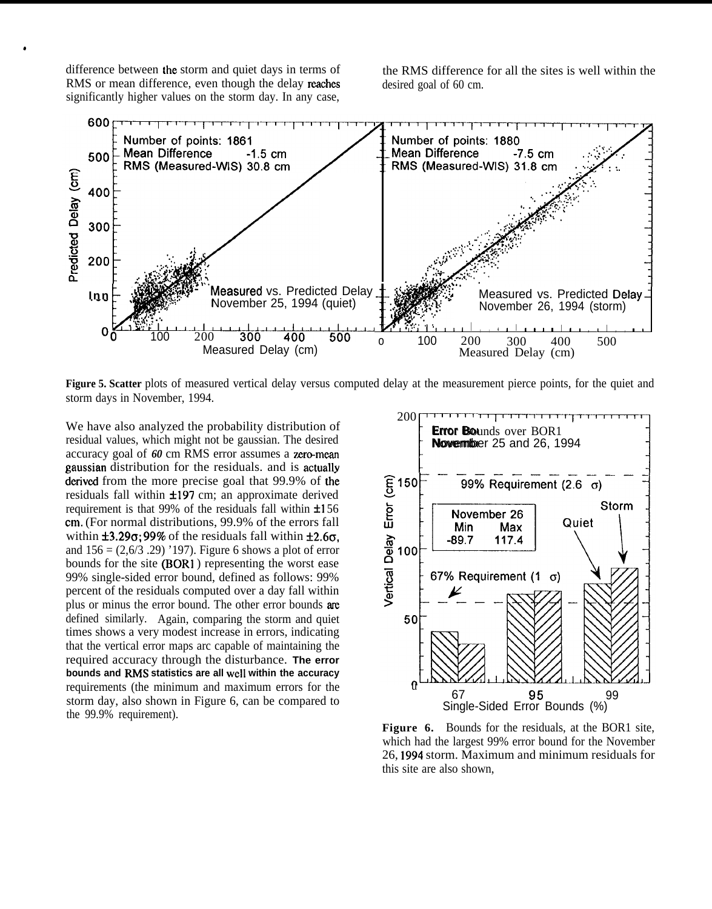difference between the storm and quiet days in terms of the RMS difference for all the sites is well within the RMS or mean difference, even though the delay reaches desired goal of 60 cm. significantly higher values on the storm day. In any case,

\*



Figure 5. Scatter plots of measured vertical delay versus computed delay at the measurement pierce points, for the quiet and storm days in November, 1994.<br>
We have also analyzed the probability distribution of **Error Bound** storm days in November, 1994.

We have also analyzed the probability distribution of residual values, which might not be gaussian. The desired accuracy goal of 60 cm RMS error assumes a zero-mean gaussian distribution for the residuals. and is actually<br>derived from the more precise goal that 99.9% of the<br>residuals fall within  $\pm 197$  cm; an approximate derived<br>requirement is that 99% of the residuals fall within derived from the more precise goal that  $99.9\%$  of the residuals fall within  $\pm 197$  cm; an approximate derived requirement is that 99% of the residuals fall within  $\pm 156$ cm, (For normal distributions, 99.9% of the errors fall within  $\pm 3.29\sigma$ ; 99% of the residuals fall within  $\pm 2.6\sigma$ . and  $156 = (2,6/3,29)$  '197). Figure 6 shows a plot of error bounds for the site (BORI ) representing the worst ease 99% single-sided error bound, defined as follows: 99% percent of the residuals computed over a day fall within plus or minus the error bound. The other error bounds are defined similarly. Again, comparing the storm and quiet times shows a very modest increase in errors, indicating that the vertical error maps arc capable of maintaining the required accuracy through the disturbance. **The error** bounds and RMS statistics are all well within the accuracy requirements (the minimum and maximum errors for the storm day, also shown in Figure 6, can be compared to the 99.9% requirement).



**Figure 6.** Bounds for the residuals, at the BOR1 site, which had the largest 99% error bound for the November 26, 1994 storm. Maximum and minimum residuals for this site are also shown,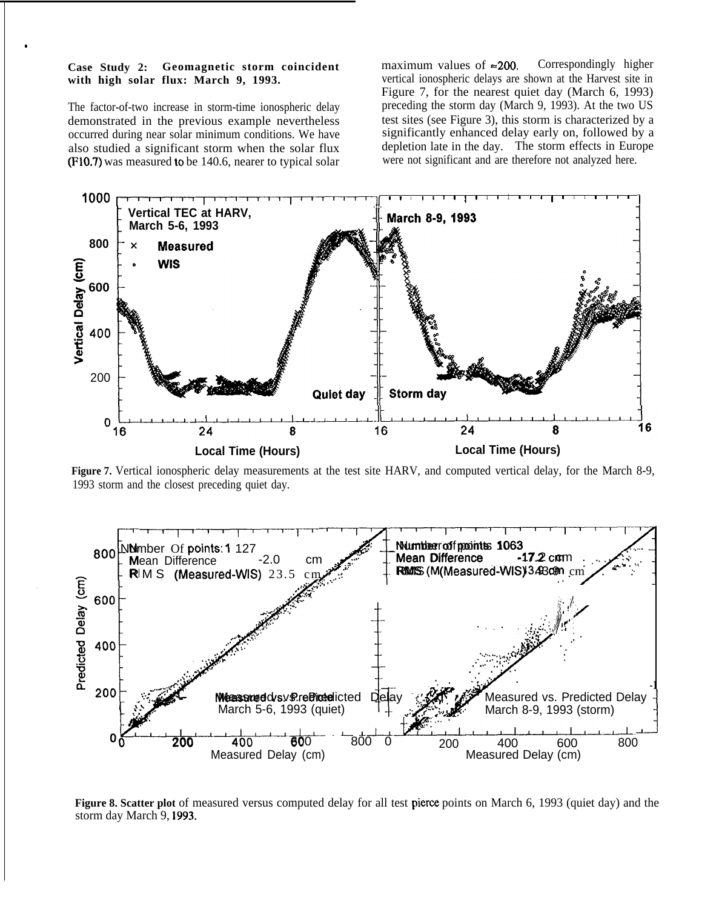## **Case Study 2: Geomagnetic storm coincident with high solar flux: March 9, 1993.**

,

The factor-of-two increase in storm-time ionospheric delay demonstrated in the previous example nevertheless occurred during near solar minimum conditions. We have also studied a significant storm when the solar flux (FIO.7) was measured to be 140.6, nearer to typical solar

maximum values of  $\approx 200$ . Correspondingly higher vertical ionospheric delays are shown at the Harvest site in Figure 7, for the nearest quiet day (March 6, 1993) preceding the storm day (March 9, 1993). At the two US test sites (see Figure 3), this storm is characterized by a significantly enhanced delay early on, followed by a depletion late in the day. The storm effects in Europe were not significant and are therefore not analyzed here.



**Figure 7.** Vertical ionospheric delay measurements at the test site HARV, and computed vertical delay, for the March 8-9, 1993 storm and the closest preceding quiet day.

![](_page_6_Figure_5.jpeg)

**Figure 8. Scatter plot** of measured versus computed delay for all test pieree points on March 6, 1993 (quiet day) and the storm day March 9, 1993.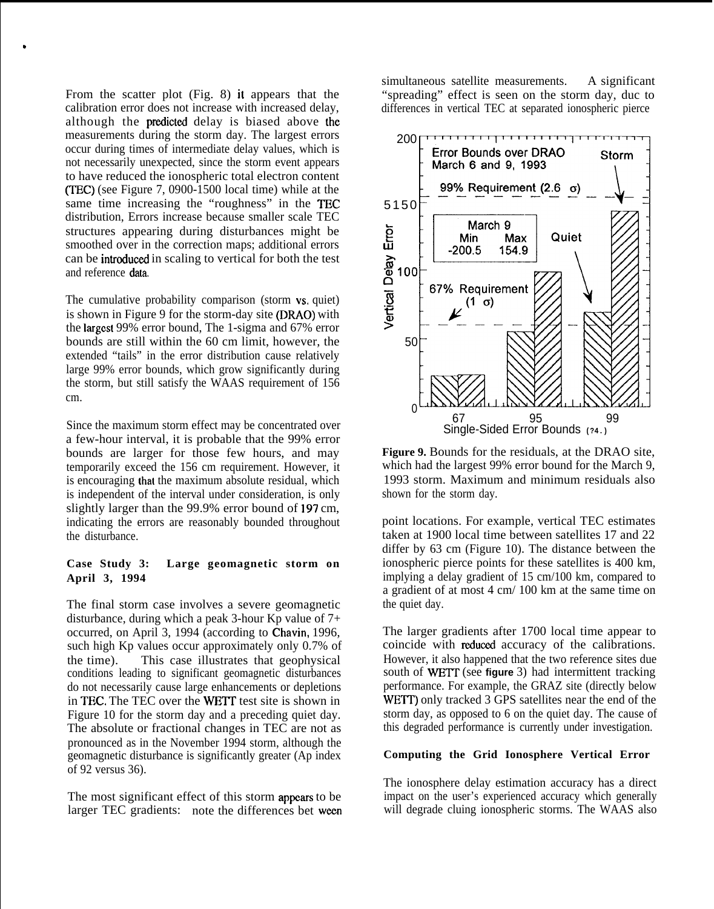From the scatter plot  $(Fig. 8)$  it appears that the calibration error does not increase with increased delay, although the predicted delay is biased above the measurements during the storm day. The largest errors occur during times of intermediate delay values, which is not necessarily unexpected, since the storm event appears to have reduced the ionospheric total electron content (TEC) (see Figure 7, 0900-1500 local time) while at the same time increasing the "roughness" in the TEC distribution, Errors increase because smaller scale TEC structures appearing during disturbances might be smoothed over in the correction maps; additional errors can be introduced in scaling to vertical for both the test and reference data,

,

The cumulative probability comparison (storm vs. quiet) is shown in Figure 9 for the storm-day site (DRAO) with the Iargcst 99% error bound, The 1-sigma and 67% error bounds are still within the 60 cm limit, however, the extended "tails" in the error distribution cause relatively large 99% error bounds, which grow significantly during the storm, but still satisfy the WAAS requirement of 156 cm.

Since the maximum storm effect may be concentrated over a few-hour interval, it is probable that the 99% error bounds are larger for those few hours, and may temporarily exceed the 156 cm requirement. However, it is encouraging that the maximum absolute residual, which is independent of the interval under consideration, is only slightly larger than the 99.9% error bound of 197 cm, indicating the errors are reasonably bounded throughout the disturbance.

# **Case Study 3: Large geomagnetic storm on April 3, 1994**

The final storm case involves a severe geomagnetic disturbance, during which a peak 3-hour Kp value of  $7+$ occurred, on April 3, 1994 (according to Chavin, 1996, such high Kp values occur approximately only 0.7% of the time). This case illustrates that geophysical conditions leading to significant geomagnetic disturbances do not necessarily cause large enhancements or depletions in TEC. The TEC over the WETT test site is shown in Figure 10 for the storm day and a preceding quiet day. The absolute or fractional changes in TEC are not as pronounced as in the November 1994 storm, although the geomagnetic disturbance is significantly greater (Ap index of 92 versus 36).

The most significant effect of this storm appears to be larger TEC gradients: note the differences bet ween

simultaneous satellite measurements. A significant "spreading" effect is seen on the storm day, duc to differences in vertical TEC at separated ionospheric pierce

![](_page_7_Figure_7.jpeg)

**Figure 9.** Bounds for the residuals, at the DRAO site, which had the largest 99% error bound for the March 9, 1993 storm. Maximum and minimum residuals also shown for the storm day.

point locations. For example, vertical TEC estimates taken at 1900 local time between satellites 17 and 22 differ by 63 cm (Figure 10). The distance between the ionospheric pierce points for these satellites is 400 km, implying a delay gradient of 15 cm/100 km, compared to a gradient of at most 4 cm/ 100 km at the same time on the quiet day.

The larger gradients after 1700 local time appear to coincide with reduced accuracy of the calibrations. However, it also happened that the two reference sites due south of **WETT** (see **figure** 3) had intermittent tracking performance. For example, the GRAZ site (directly below WETT) only tracked 3 GPS satellites near the end of the storm day, as opposed to 6 on the quiet day. The cause of this degraded performance is currently under investigation.

# **Computing the Grid Ionosphere Vertical Error**

The ionosphere delay estimation accuracy has a direct impact on the user's experienced accuracy which generally will degrade cluing ionospheric storms. The WAAS also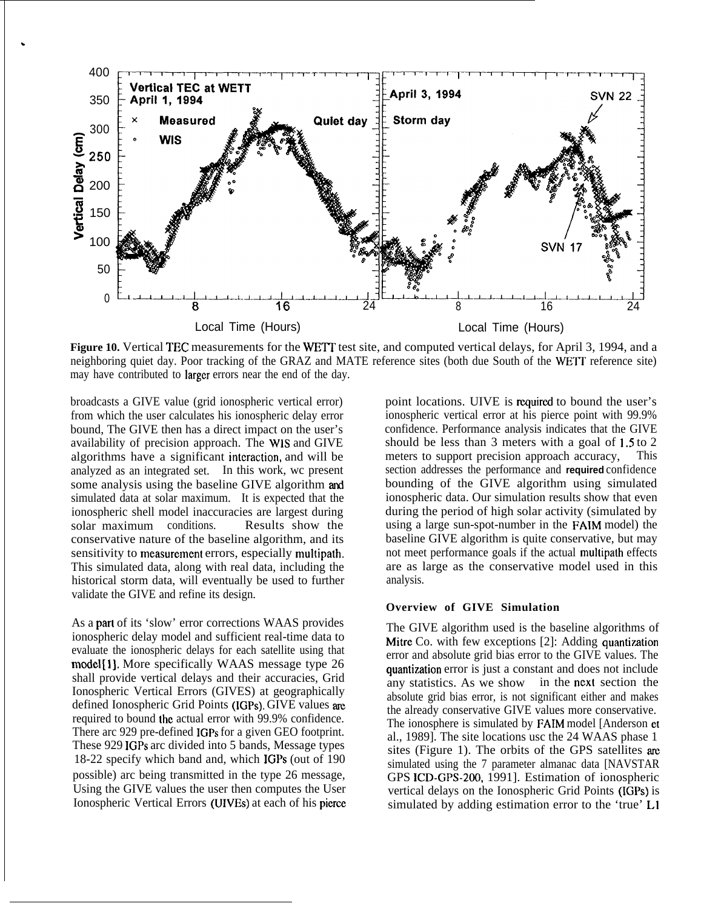![](_page_8_Figure_0.jpeg)

Figure 10. Vertical TEC measurements for the WETT test site, and computed vertical delays, for April 3, 1994, and a neighboring quiet day. Poor tracking of the GRAZ and MATE reference sites (both due South of the WETT reference site) may have contributed to Iargcr errors near the end of the day.

broadcasts a GIVE value (grid ionospheric vertical error) from which the user calculates his ionospheric delay error bound, The GIVE then has a direct impact on the user's availability of precision approach. The WIS and GIVE algorithms have a significant interaction, and will be analyzed as an integrated set. In this work, wc present some analysis using the baseline GIVE algorithm and simulated data at solar maximum. It is expected that the ionospheric shell model inaccuracies are largest during solar maximum conditions. Results show the conservative nature of the baseline algorithm, and its sensitivity to measurement errors, especially multipath. This simulated data, along with real data, including the historical storm data, will eventually be used to further validate the GIVE and refine its design.

,

As a part of its 'slow' error corrections WAAS provides ionospheric delay model and sufficient real-time data to evaluate the ionospheric delays for each satellite using that **model [1].** More specifically WAAS message type 26 shall provide vertical delays and their accuracies, Grid Ionospheric Vertical Errors (GIVES) at geographically defined Ionospheric Grid Points (IGPs). GIVE values are required to bound the actual error with 99.9% confidence. There arc 929 pre-defined IGPs for a given GEO footprint. These 929 IGPs arc divided into 5 bands, Message types 18-22 specify which band and, which IGPs (out of 190 possible) arc being transmitted in the type 26 message, Using the GIVE values the user then computes the User Ionospheric Vertical Errors (UIVES) at each of his picrcc

point locations. UIVE is required to bound the user's ionospheric vertical error at his pierce point with 99.9% confidence. Performance analysis indicates that the GIVE should be less than 3 meters with a goal of 1.5 to 2 meters to support precision approach accuracy, This section addresses the performance and **required** confidence bounding of the GIVE algorithm using simulated ionospheric data. Our simulation results show that even during the period of high solar activity (simulated by using a large sun-spot-number in the FAIM model) the baseline GIVE algorithm is quite conservative, but may not meet performance goals if the actual multipath effects are as large as the conservative model used in this analysis.

#### **Overview of GIVE Simulation**

The GIVE algorithm used is the baseline algorithms of Mitre Co. with few exceptions  $[2]$ : Adding quantization error and absolute grid bias error to the GIVE values. The quantization error is just a constant and does not include any statistics. As we show in the next section the absolute grid bias error, is not significant either and makes the already conservative GIVE values more conservative. The ionosphere is simulated by FAIM model [Anderson et al., 1989]. The site locations usc the 24 WAAS phase 1 sites (Figure 1). The orbits of the GPS satellites are simulated using the 7 parameter almanac data [NAVSTAR GPS ICD-GPS-200, 1991]. Estimation of ionospheric vertical delays on the Ionospheric Grid Points (IGPs) is simulated by adding estimation error to the 'true' LI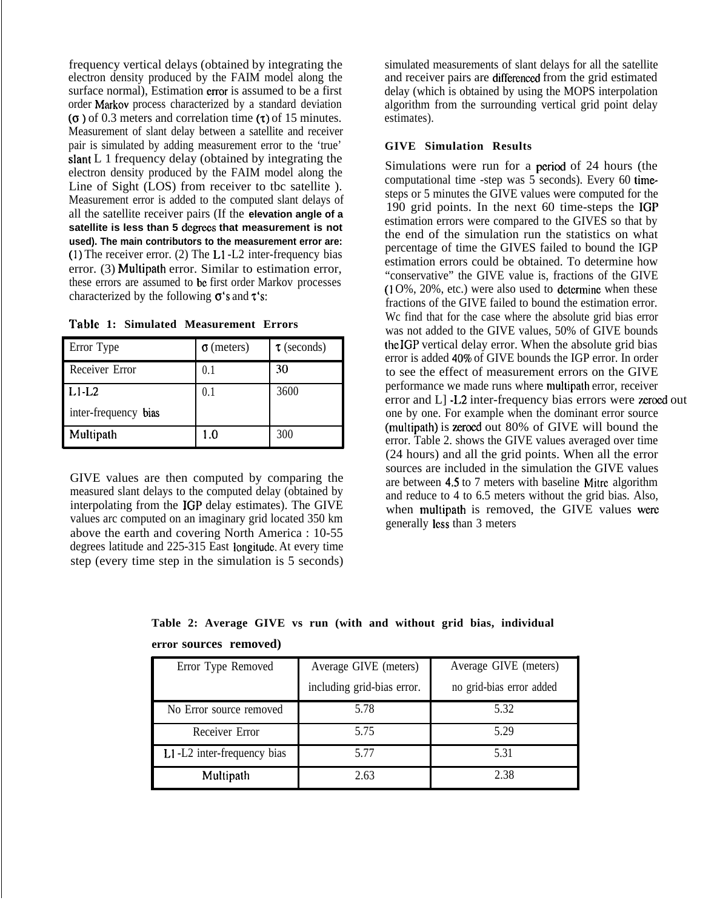frequency vertical delays (obtained by integrating the electron density produced by the FAIM model along the surface normal), Estimation error is assumed to be a first order Markov process characterized by a standard deviation  $(0)$  of 0.3 meters and correlation time  $(0)$  of 15 minutes. Measurement of slant delay between a satellite and receiver pair is simulated by adding measurement error to the 'true' slant L 1 frequency delay (obtained by integrating the electron density produced by the FAIM model along the Line of Sight (LOS) from receiver to tbc satellite ). Measurement error is added to the computed slant delays of all the satellite receiver pairs (If the **elevation angle of a satellite is less than 5 dcgrccs that measurement is not used). The main contributors to the measurement error are: (1)** The receiver error. (2) The L1 -L2 inter-frequency bias error. (3) Multipath error. Similar to estimation error, these errors are assumed to bc first order Markov processes characterized by the following  $\sigma$ 's and  $\tau$ 's:

| Table 1: Simulated Measurement Errors |
|---------------------------------------|
|---------------------------------------|

| Error Type           | $\sigma$ (meters) | $\tau$ (seconds) |
|----------------------|-------------------|------------------|
| Receiver Error       | 0.1               | 30               |
| $L1-L2$              | 0.1               | 3600             |
| inter-frequency bias |                   |                  |
| Multipath            | 1.0               | 300              |

GIVE values are then computed by comparing the measured slant delays to the computed delay (obtained by interpolating from the IGP delay estimates). The GIVE values arc computed on an imaginary grid located 350 km above the earth and covering North America : 10-55 degrees latitude and 225-315 East Iongitudc. At every time step (every time step in the simulation is 5 seconds) simulated measurements of slant delays for all the satellite and receiver pairs are differenced from the grid estimated delay (which is obtained by using the MOPS interpolation algorithm from the surrounding vertical grid point delay estimates).

# **GIVE Simulation Results**

Simulations were run for a period of 24 hours (the computational time -step was 5 seconds). Every 60 timesteps or 5 minutes the GIVE values were computed for the 190 grid points. In the next 60 time-steps the IGP estimation errors were compared to the GIVES so that by the end of the simulation run the statistics on what percentage of time the GIVES failed to bound the IGP estimation errors could be obtained. To determine how "conservative" the GIVE value is, fractions of the GIVE  $(10\%, 20\%, etc.)$  were also used to determine when these fractions of the GIVE failed to bound the estimation error. Wc find that for the case where the absolute grid bias error was not added to the GIVE values, 50% of GIVE bounds the IGP vertical delay error. When the absolute grid bias error is added 40% of GIVE bounds the IGP error. In order to see the effect of measurement errors on the GIVE performance we made runs where multipath error, receiver error and  $L$ ]  $-1.2$  inter-frequency bias errors were zeroed out one by one. For example when the dominant error source (multipath) is zeroed out 80% of GIVE will bound the error. Table 2. shows the GIVE values averaged over time (24 hours) and all the grid points. When all the error sources are included in the simulation the GIVE values are between 4,5 to 7 meters with baseline Mitrc algorithm and reduce to 4 to 6.5 meters without the grid bias. Also, when multipath is removed, the GIVE values were generally Icss than 3 meters

**Table 2: Average GIVE vs run (with and without grid bias, individual error sources removed)**

| Error Type Removed         | Average GIVE (meters)      | Average GIVE (meters)    |
|----------------------------|----------------------------|--------------------------|
|                            | including grid-bias error. | no grid-bias error added |
| No Error source removed    | 5.78                       | 5.32                     |
| Receiver Error             | 5.75                       | 5.29                     |
| L1-L2 inter-frequency bias | 5.77                       | 5.31                     |
| Multipath                  | 2.63                       | 2.38                     |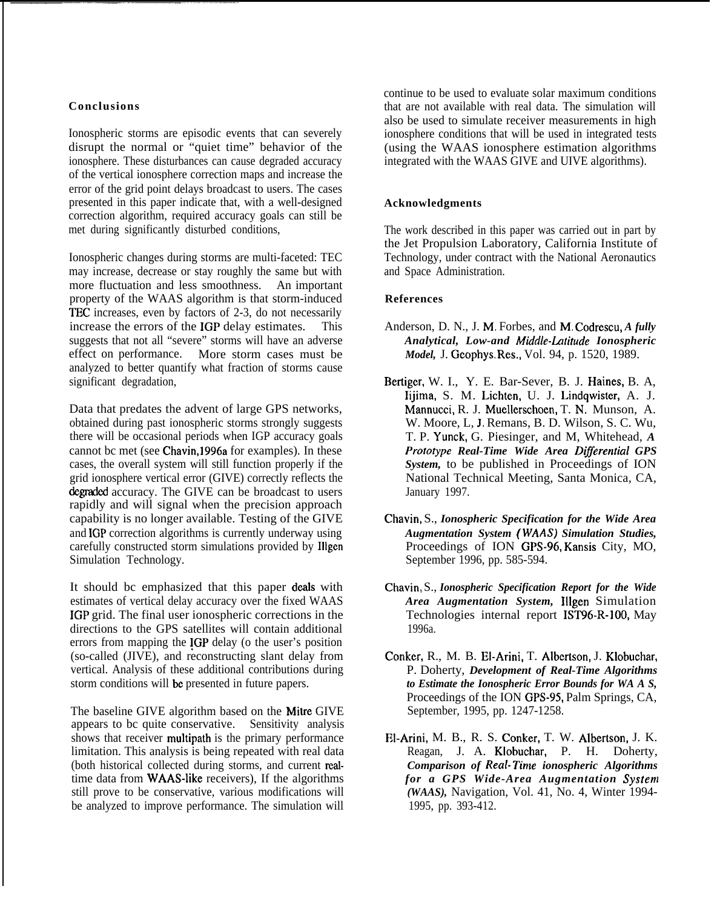# **Conclusions**

Ionospheric storms are episodic events that can severely disrupt the normal or "quiet time" behavior of the ionosphere. These disturbances can cause degraded accuracy of the vertical ionosphere correction maps and increase the error of the grid point delays broadcast to users. The cases presented in this paper indicate that, with a well-designed correction algorithm, required accuracy goals can still be met during significantly disturbed conditions,

Ionospheric changes during storms are multi-faceted: TEC may increase, decrease or stay roughly the same but with more fluctuation and less smoothness. An important property of the WAAS algorithm is that storm-induced TEC increases, even by factors of 2-3, do not necessarily increase the errors of the IGP delay estimates. This suggests that not all "severe" storms will have an adverse effect on performance. More storm cases must be analyzed to better quantify what fraction of storms cause significant degradation,

Data that predates the advent of large GPS networks, obtained during past ionospheric storms strongly suggests there will be occasional periods when IGP accuracy goals cannot bc met (see Chavin, 1996a for examples). In these cases, the overall system will still function properly if the grid ionosphere vertical error (GIVE) correctly reflects the degraded accuracy. The GIVE can be broadcast to users rapidly and will signal when the precision approach capability is no longer available. Testing of the GIVE and IGP correction algorithms is currently underway using carefully constructed storm simulations provided by Illgen Simulation Technology.

It should bc emphasized that this paper deals with estimates of vertical delay accuracy over the fixed WAAS IGP grid. The final user ionospheric corrections in the directions to the GPS satellites will contain additional errors from mapping the IGP delay (o the user's position (so-called (JIVE), and reconstructing slant delay from vertical. Analysis of these additional contributions during storm conditions will be presented in future papers.

The baseline GIVE algorithm based on the Mitre GIVE appears to bc quite conservative. Sensitivity analysis shows that receiver multipath is the primary performance limitation. This analysis is being repeated with real data (both historical collected during storms, and current tealtime data from WAAS-like receivers), If the algorithms still prove to be conservative, various modifications will be analyzed to improve performance. The simulation will

continue to be used to evaluate solar maximum conditions that are not available with real data. The simulation will also be used to simulate receiver measurements in high ionosphere conditions that will be used in integrated tests (using the WAAS ionosphere estimation algorithms integrated with the WAAS GIVE and UIVE algorithms).

# **Acknowledgments**

The work described in this paper was carried out in part by the Jet Propulsion Laboratory, California Institute of Technology, under contract with the National Aeronautics and Space Administration.

# **References**

- Anderson, D. N., J. M, Forbes, and M, Codrescu, *A fully Analytical, Low-and Mkldle-Lutitude Ionospheric Model,* J. Gcophys. Res,, Vol. 94, p. 1520, 1989.
- Bertiger, W. I., Y. E. Bar-Sever, B. J. Haines, B. A, Iijima, S. M. Lichten, U. J. Lindqwister, A. J. Mannucci, R. J. Muellerschoen, T. N, Munson, A. W. Moore, L, J. Remans, B. D. Wilson, S. C. Wu, T. P. Yunck, G. Piesinger, and M, Whitehead, *A Prototype Real-Time Wide Area Differential GPS System,* to be published in Proceedings of ION National Technical Meeting, Santa Monica, CA, January 1997.
- Chavin, S., *Ionospheric Specification for the Wide Area Augmentation System ( WAAS) Simulation Studies,* Proceedings of ION GPS-96, Kansis City, MO, September 1996, pp. 585-594.
- Chavin, S., *Ionospheric Specification Report for the Wide Area Augmentation System,* Illgen Simulation Technologies internal report IST96-R-100, May 1996a.
- Conker, R., M. B. E1-Arini, T. Albertson, J. Klobuchar, P. Doherty, *Development of Real-Time Algorithms to Estimate the Ionospheric Error Bounds for WA A S,* Proceedings of the ION GPS-95, Palm Springs, CA, September, 1995, pp. 1247-1258.
- El-Arini, M. B., R. S. Conker, T. W. Albertson, J. K. Reagan, J. A. Klobuchar, P. H. Doherty, *Comparison of Real- Tinte ionospheric Algorithms for a GPS Wide-Area Augmentation System (WAAS),* Navigation, Vol. 41, No. 4, Winter 1994- 1995, pp. 393-412.